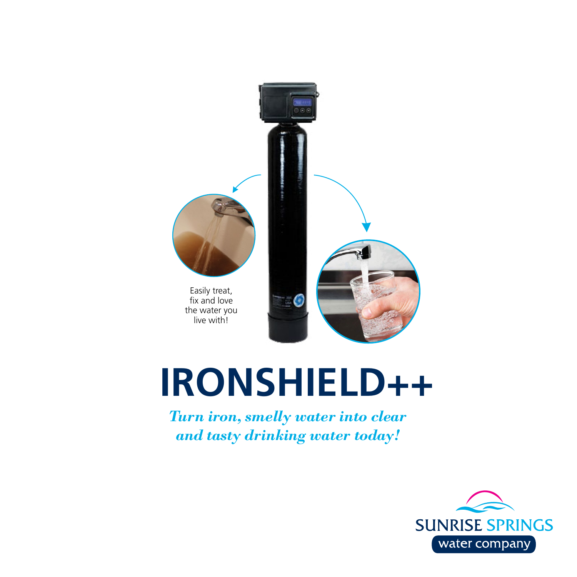

# **IRONSHIELD++**

*Turn iron, smelly water into clear and tasty drinking water today!*

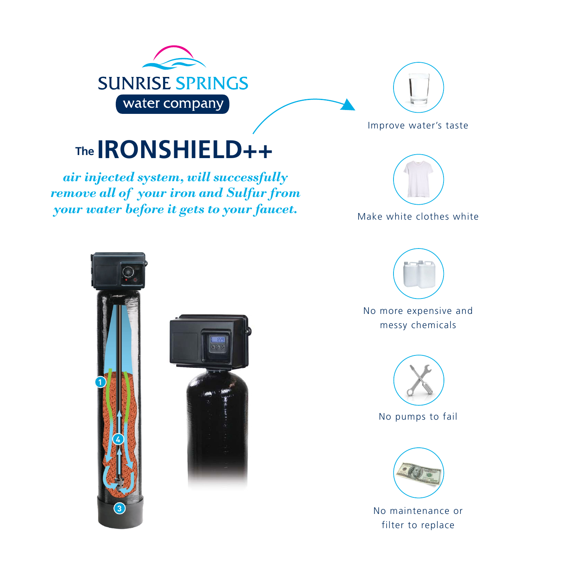



Improve water's taste

### **IRONSHIELD++ The**

*air injected system, will successfully remove all of your iron and Sulfur from your water before it gets to your faucet.* 



Make white clothes white







No more expensive and messy chemicals



No pumps to fail



No maintenance or filter to replace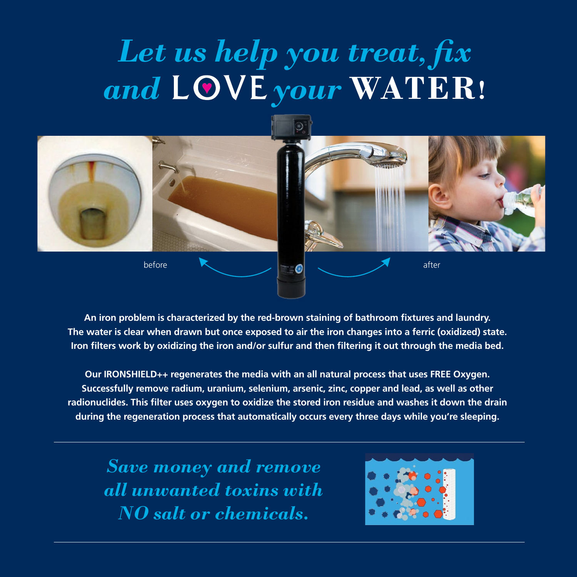## *Let us help you treat, fix*  and LOVE your WATER!



**An iron problem is characterized by the red-brown staining of bathroom fixtures and laundry. The water is clear when drawn but once exposed to air the iron changes into a ferric (oxidized) state. Iron filters work by oxidizing the iron and/or sulfur and then filtering it out through the media bed.** 

**Our IRONSHIELD++ regenerates the media with an all natural process that uses FREE Oxygen. Successfully remove radium, uranium, selenium, arsenic, zinc, copper and lead, as well as other radionuclides. This filter uses oxygen to oxidize the stored iron residue and washes it down the drain during the regeneration process that automatically occurs every three days while you're sleeping.** 

*Save money and remove all unwanted toxins with NO salt or chemicals.*